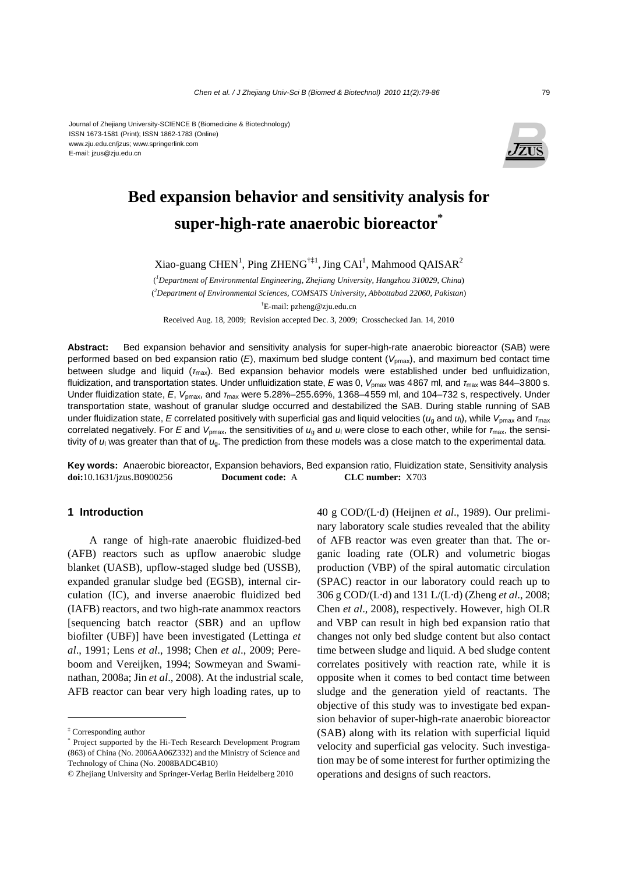#### Journal of Zhejiang University-SCIENCE B (Biomedicine & Biotechnology) ISSN 1673-1581 (Print); ISSN 1862-1783 (Online) www.zju.edu.cn/jzus; www.springerlink.com E-mail: jzus@zju.edu.cn



# **Bed expansion behavior and sensitivity analysis for super-high-rate anaerobic bioreactor\***

Xiao-guang CHEN<sup>1</sup>, Ping ZHENG<sup>†‡1</sup>, Jing CAI<sup>1</sup>, Mahmood QAISAR<sup>2</sup>

( *1 Department of Environmental Engineering, Zhejiang University, Hangzhou 310029, China*) ( *2 Department of Environmental Sciences, COMSATS University, Abbottabad 22060, Pakistan*) † E-mail: pzheng@zju.edu.cn

Received Aug. 18, 2009; Revision accepted Dec. 3, 2009; Crosschecked Jan. 14, 2010

**Abstract:** Bed expansion behavior and sensitivity analysis for super-high-rate anaerobic bioreactor (SAB) were performed based on bed expansion ratio (*E*), maximum bed sludge content (*V*pmax), and maximum bed contact time between sludge and liquid (*τ*max). Bed expansion behavior models were established under bed unfluidization, fluidization, and transportation states. Under unfluidization state, E was 0, V<sub>pmax</sub> was 4867 ml, and *τ*<sub>max</sub> was 844–3800 s. Under fluidization state, *E*, *V*pmax, and *τ*max were 5.28%–255.69%, 1368–4559 ml, and 104–732 s, respectively. Under transportation state, washout of granular sludge occurred and destabilized the SAB. During stable running of SAB under fluidization state, *E* correlated positively with superficial gas and liquid velocities (*u*<sub>a</sub> and *u*<sub>l</sub>), while *V*<sub>pmax</sub> and *τ*<sub>max</sub> correlated negatively. For *E* and *V*pmax, the sensitivities of *u*g and *u*l were close to each other, while for *τ*max, the sensitivity of *u*l was greater than that of *u*g. The prediction from these models was a close match to the experimental data.

**Key words:** Anaerobic bioreactor, Expansion behaviors, Bed expansion ratio, Fluidization state, Sensitivity analysis **doi:**10.1631/jzus.B0900256 **Document code:** A **CLC number:** X703

### **1 Introduction**

A range of high-rate anaerobic fluidized-bed (AFB) reactors such as upflow anaerobic sludge blanket (UASB), upflow-staged sludge bed (USSB), expanded granular sludge bed (EGSB), internal circulation (IC), and inverse anaerobic fluidized bed (IAFB) reactors, and two high-rate anammox reactors [sequencing batch reactor (SBR) and an upflow biofilter (UBF)] have been investigated (Lettinga *et al*., 1991; Lens *et al*., 1998; Chen *et al*., 2009; Pereboom and Vereijken, 1994; Sowmeyan and Swaminathan, 2008a; Jin *et al*., 2008). At the industrial scale, AFB reactor can bear very high loading rates, up to

40 g COD/(L·d) (Heijnen *et al*., 1989). Our preliminary laboratory scale studies revealed that the ability of AFB reactor was even greater than that. The organic loading rate (OLR) and volumetric biogas production (VBP) of the spiral automatic circulation (SPAC) reactor in our laboratory could reach up to 306 g COD/(L·d) and 131 L/(L·d) (Zheng *et al*., 2008; Chen *et al*., 2008), respectively. However, high OLR and VBP can result in high bed expansion ratio that changes not only bed sludge content but also contact time between sludge and liquid. A bed sludge content correlates positively with reaction rate, while it is opposite when it comes to bed contact time between sludge and the generation yield of reactants. The objective of this study was to investigate bed expansion behavior of super-high-rate anaerobic bioreactor (SAB) along with its relation with superficial liquid velocity and superficial gas velocity. Such investigation may be of some interest for further optimizing the operations and designs of such reactors.

<sup>‡</sup> Corresponding author

<sup>\*</sup> Project supported by the Hi-Tech Research Development Program (863) of China (No. 2006AA06Z332) and the Ministry of Science and Technology of China (No. 2008BADC4B10)

<sup>©</sup> Zhejiang University and Springer-Verlag Berlin Heidelberg 2010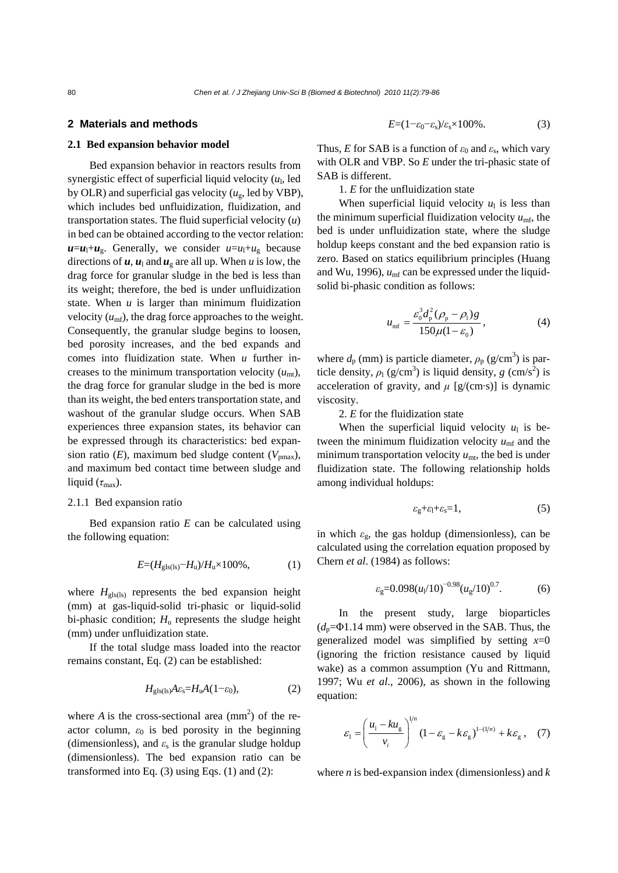80 *Chen et al. / J Zhejiang Univ-Sci B (Biomed & Biotechnol) 2010 11(2):79-86*

#### **2 Materials and methods**

#### **2.1 Bed expansion behavior model**

Bed expansion behavior in reactors results from synergistic effect of superficial liquid velocity  $(u_1, \text{led}$ by OLR) and superficial gas velocity  $(u_{\rm g}, \text{led by VBP})$ , which includes bed unfluidization, fluidization, and transportation states. The fluid superficial velocity (*u*) in bed can be obtained according to the vector relation:  $u=u_1+u_g$ . Generally, we consider  $u=u_1+u_g$  because directions of  $u$ ,  $u_1$  and  $u_g$  are all up. When *u* is low, the drag force for granular sludge in the bed is less than its weight; therefore, the bed is under unfluidization state. When  $u$  is larger than minimum fluidization velocity  $(u_{\text{mf}})$ , the drag force approaches to the weight. Consequently, the granular sludge begins to loosen, bed porosity increases, and the bed expands and comes into fluidization state. When *u* further increases to the minimum transportation velocity  $(u_{mt})$ , the drag force for granular sludge in the bed is more than its weight, the bed enters transportation state, and washout of the granular sludge occurs. When SAB experiences three expansion states, its behavior can be expressed through its characteristics: bed expansion ratio  $(E)$ , maximum bed sludge content  $(V_{\text{pmax}})$ , and maximum bed contact time between sludge and liquid  $(\tau_{\text{max}})$ .

#### 2.1.1 Bed expansion ratio

Bed expansion ratio *E* can be calculated using the following equation:

$$
E=(H_{\rm gls(ls)}-H_{\rm u})/H_{\rm u}\times 100\%
$$
, (1)

where  $H_{\text{glas}}$  represents the bed expansion height (mm) at gas-liquid-solid tri-phasic or liquid-solid bi-phasic condition; *H*u represents the sludge height (mm) under unfluidization state.

If the total sludge mass loaded into the reactor remains constant, Eq. (2) can be established:

$$
H_{\rm gls(ls)}A\varepsilon_{\rm s} = H_{\rm u}A(1-\varepsilon_0),\tag{2}
$$

where *A* is the cross-sectional area  $\text{(mm}^2)$  of the reactor column,  $\varepsilon_0$  is bed porosity in the beginning (dimensionless), and  $\varepsilon$ <sub>s</sub> is the granular sludge holdup (dimensionless). The bed expansion ratio can be transformed into Eq. (3) using Eqs. (1) and (2):

$$
E=(1-\varepsilon_0-\varepsilon_s)/\varepsilon_s \times 100\%.
$$
 (3)

Thus, *E* for SAB is a function of  $\varepsilon_0$  and  $\varepsilon_s$ , which vary with OLR and VBP. So *E* under the tri-phasic state of SAB is different.

1. *E* for the unfluidization state

When superficial liquid velocity  $u_1$  is less than the minimum superficial fluidization velocity  $u_{\text{mf}}$ , the bed is under unfluidization state, where the sludge holdup keeps constant and the bed expansion ratio is zero. Based on statics equilibrium principles (Huang and Wu, 1996),  $u_{\text{mf}}$  can be expressed under the liquidsolid bi-phasic condition as follows:

$$
u_{\rm mf} = \frac{\varepsilon_0^3 d_{\rm p}^2 (\rho_{\rm p} - \rho_{\rm l}) g}{150 \mu (1 - \varepsilon_0)}, \qquad (4)
$$

where  $d_p$  (mm) is particle diameter,  $\rho_p$  (g/cm<sup>3</sup>) is particle density,  $\rho_1$  (g/cm<sup>3</sup>) is liquid density, *g* (cm/s<sup>2</sup>) is acceleration of gravity, and  $\mu$  [g/(cm·s)] is dynamic viscosity.

2. *E* for the fluidization state

When the superficial liquid velocity  $u_1$  is between the minimum fluidization velocity  $u_{\text{mf}}$  and the minimum transportation velocity  $u_{\text{mt}}$ , the bed is under fluidization state. The following relationship holds among individual holdups:

$$
\varepsilon_{g}+\varepsilon_{l}+\varepsilon_{s}=1, \qquad (5)
$$

in which  $\varepsilon_{g}$ , the gas holdup (dimensionless), can be calculated using the correlation equation proposed by Chern *et al*. (1984) as follows:

$$
\varepsilon_{\rm g} = 0.098 (u_{\rm l}/10)^{-0.98} (u_{\rm g}/10)^{0.7}.
$$
 (6)

In the present study, large bioparticles  $(d_p=Φ1.14$  mm) were observed in the SAB. Thus, the generalized model was simplified by setting *x*=0 (ignoring the friction resistance caused by liquid wake) as a common assumption (Yu and Rittmann, 1997; Wu *et al*., 2006), as shown in the following equation:

$$
\varepsilon_1 = \left(\frac{u_1 - k u_g}{v_i}\right)^{1/n} \left(1 - \varepsilon_g - k \varepsilon_g\right)^{1 - (1/n)} + k \varepsilon_g \,,\quad (7)
$$

where *n* is bed-expansion index (dimensionless) and *k*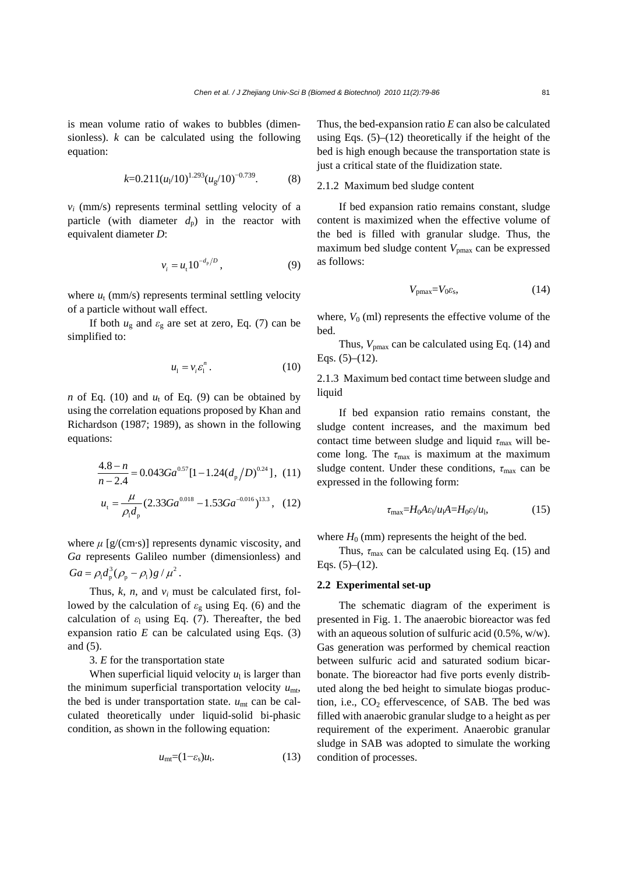is mean volume ratio of wakes to bubbles (dimensionless). *k* can be calculated using the following equation:

$$
k=0.211(u_1/10)^{1.293}(u_g/10)^{-0.739}.
$$
 (8)

 $v_i$  (mm/s) represents terminal settling velocity of a particle (with diameter  $d_p$ ) in the reactor with equivalent diameter *D*:

$$
v_i = u_i 10^{-d_p/D}, \t\t(9)
$$

where  $u_t$  (mm/s) represents terminal settling velocity of a particle without wall effect.

If both  $u_{\rm g}$  and  $\varepsilon_{\rm g}$  are set at zero, Eq. (7) can be simplified to:

$$
u_1 = v_i \varepsilon_1^n. \tag{10}
$$

*n* of Eq. (10) and  $u_t$  of Eq. (9) can be obtained by using the correlation equations proposed by Khan and Richardson (1987; 1989), as shown in the following equations:

$$
\frac{4.8 - n}{n - 2.4} = 0.043Ga^{0.57}[1 - 1.24(d_p/D)^{0.24}], (11)
$$

$$
u_t = \frac{\mu}{\rho_1 d_p} (2.33Ga^{0.018} - 1.53Ga^{-0.016})^{13.3}, (12)
$$

where  $\mu$  [g/(cm·s)] represents dynamic viscosity, and *Ga* represents Galileo number (dimensionless) and  $Ga = \rho_1 d_p^3 (\rho_p - \rho_1) g / \mu^2$ .

Thus,  $k$ ,  $n$ , and  $v_i$  must be calculated first, followed by the calculation of *ε*g using Eq. (6) and the calculation of  $\varepsilon_1$  using Eq. (7). Thereafter, the bed expansion ratio  $E$  can be calculated using Eqs.  $(3)$ and (5).

3. *E* for the transportation state

When superficial liquid velocity  $u_1$  is larger than the minimum superficial transportation velocity  $u_{\text{mt}}$ , the bed is under transportation state.  $u_{\text{mt}}$  can be calculated theoretically under liquid-solid bi-phasic condition, as shown in the following equation:

$$
u_{\rm mt} = (1 - \varepsilon_{\rm s}) u_{\rm t}.
$$
 (13)

Thus, the bed-expansion ratio *E* can also be calculated using Eqs.  $(5)$ – $(12)$  theoretically if the height of the bed is high enough because the transportation state is just a critical state of the fluidization state.

# 2.1.2 Maximum bed sludge content

If bed expansion ratio remains constant, sludge content is maximized when the effective volume of the bed is filled with granular sludge. Thus, the maximum bed sludge content  $V_{pmax}$  can be expressed as follows:

$$
V_{\text{pmax}} = V_0 \varepsilon_{\text{s}},\tag{14}
$$

where,  $V_0$  (ml) represents the effective volume of the bed.

Thus,  $V_{\text{pmax}}$  can be calculated using Eq. (14) and Eqs.  $(5)–(12)$ .

2.1.3 Maximum bed contact time between sludge and liquid

If bed expansion ratio remains constant, the sludge content increases, and the maximum bed contact time between sludge and liquid  $\tau_{\text{max}}$  will become long. The  $\tau_{\text{max}}$  is maximum at the maximum sludge content. Under these conditions,  $\tau_{\text{max}}$  can be expressed in the following form:

$$
\tau_{\text{max}} = H_0 A \varepsilon_l / u_l A = H_0 \varepsilon_l / u_l,\tag{15}
$$

where  $H_0$  (mm) represents the height of the bed.

Thus,  $\tau_{\text{max}}$  can be calculated using Eq. (15) and Eqs.  $(5)–(12)$ .

## **2.2 Experimental set-up**

The schematic diagram of the experiment is presented in Fig. 1. The anaerobic bioreactor was fed with an aqueous solution of sulfuric acid (0.5%, w/w). Gas generation was performed by chemical reaction between sulfuric acid and saturated sodium bicarbonate. The bioreactor had five ports evenly distributed along the bed height to simulate biogas production, i.e.,  $CO<sub>2</sub>$  effervescence, of SAB. The bed was filled with anaerobic granular sludge to a height as per requirement of the experiment. Anaerobic granular sludge in SAB was adopted to simulate the working condition of processes.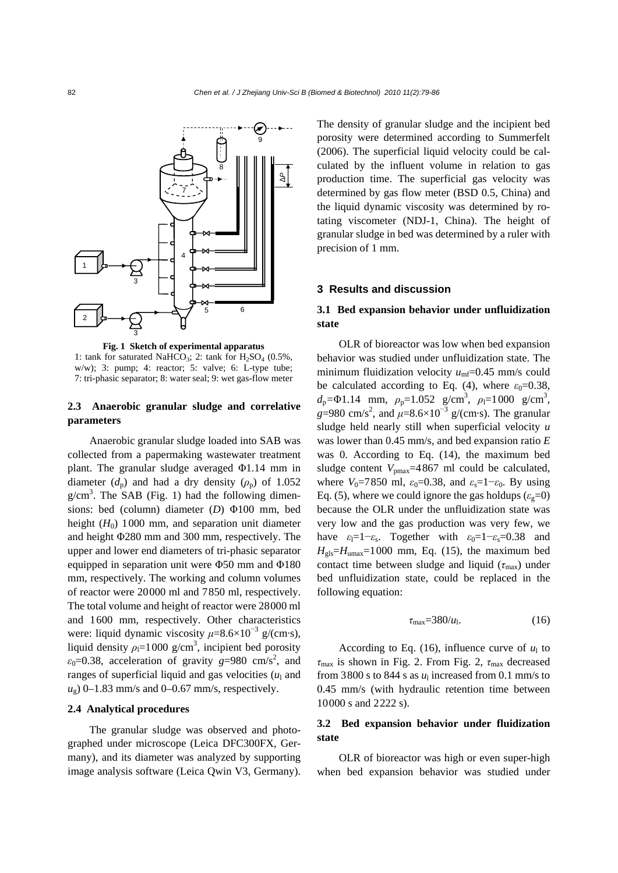

**Fig. 1 Sketch of experimental apparatus**  1: tank for saturated NaHCO<sub>3</sub>; 2: tank for  $H_2SO_4$  (0.5%, w/w); 3: pump; 4: reactor; 5: valve; 6: L-type tube; 7: tri-phasic separator; 8: water seal; 9: wet gas-flow meter

# **2.3 Anaerobic granular sludge and correlative parameters**

Anaerobic granular sludge loaded into SAB was collected from a papermaking wastewater treatment plant. The granular sludge averaged Φ1.14 mm in diameter  $(d_p)$  and had a dry density  $(\rho_p)$  of 1.052  $g/cm<sup>3</sup>$ . The SAB (Fig. 1) had the following dimensions: bed (column) diameter (*D*) Φ100 mm, bed height  $(H_0)$  1000 mm, and separation unit diameter and height Φ280 mm and 300 mm, respectively. The upper and lower end diameters of tri-phasic separator equipped in separation unit were Φ50 mm and Φ180 mm, respectively. The working and column volumes of reactor were 20000 ml and 7850 ml, respectively. The total volume and height of reactor were 28000 ml and 1600 mm, respectively. Other characteristics were: liquid dynamic viscosity  $\mu$ =8.6×10<sup>-3</sup> g/(cm·s), liquid density  $\rho_1 = 1000$  g/cm<sup>3</sup>, incipient bed porosity  $\varepsilon_0$ =0.38, acceleration of gravity  $g=980 \text{ cm/s}^2$ , and ranges of superficial liquid and gas velocities  $(u<sub>1</sub>$  and  $u<sub>o</sub>$ ) 0–1.83 mm/s and 0–0.67 mm/s, respectively.

## **2.4 Analytical procedures**

The granular sludge was observed and photographed under microscope (Leica DFC300FX, Germany), and its diameter was analyzed by supporting image analysis software (Leica Qwin V3, Germany).

The density of granular sludge and the incipient bed porosity were determined according to Summerfelt (2006). The superficial liquid velocity could be calculated by the influent volume in relation to gas production time. The superficial gas velocity was determined by gas flow meter (BSD 0.5, China) and the liquid dynamic viscosity was determined by rotating viscometer (NDJ-1, China). The height of granular sludge in bed was determined by a ruler with precision of 1 mm.

### **3 Results and discussion**

# **3.1 Bed expansion behavior under unfluidization state**

OLR of bioreactor was low when bed expansion behavior was studied under unfluidization state. The minimum fluidization velocity  $u_{\text{mf}}$ =0.45 mm/s could be calculated according to Eq. (4), where  $\varepsilon_0 = 0.38$ ,  $d_p = \Phi 1.14$  mm,  $\rho_p = 1.052$  g/cm<sup>3</sup>,  $\rho_l = 1000$  g/cm<sup>3</sup>,  $g=980 \text{ cm/s}^2$ , and  $\mu=8.6\times10^{-3}$  g/(cm·s). The granular sludge held nearly still when superficial velocity *u* was lower than 0.45 mm/s, and bed expansion ratio *E* was 0. According to Eq. (14), the maximum bed sludge content  $V_{\text{pmax}}$ =4867 ml could be calculated, where  $V_0$ =7850 ml,  $\varepsilon_0$ =0.38, and  $\varepsilon_s$ =1− $\varepsilon_0$ . By using Eq. (5), where we could ignore the gas holdups  $(\varepsilon_e=0)$ because the OLR under the unfluidization state was very low and the gas production was very few, we have  $\varepsilon_1=1-\varepsilon_s$ . Together with  $\varepsilon_0=1-\varepsilon_s=0.38$  and  $H_{\text{obs}}=H_{\text{umax}}=1000$  mm, Eq. (15), the maximum bed contact time between sludge and liquid  $(\tau_{\text{max}})$  under bed unfluidization state, could be replaced in the following equation:

$$
\tau_{\text{max}} = 380/u_1. \tag{16}
$$

According to Eq. (16), influence curve of  $u_1$  to *τ*max is shown in Fig. 2. From Fig. 2, *τ*max decreased from 3800 s to 844 s as  $u_1$  increased from 0.1 mm/s to 0.45 mm/s (with hydraulic retention time between 10000 s and 2222 s).

# **3.2 Bed expansion behavior under fluidization state**

OLR of bioreactor was high or even super-high when bed expansion behavior was studied under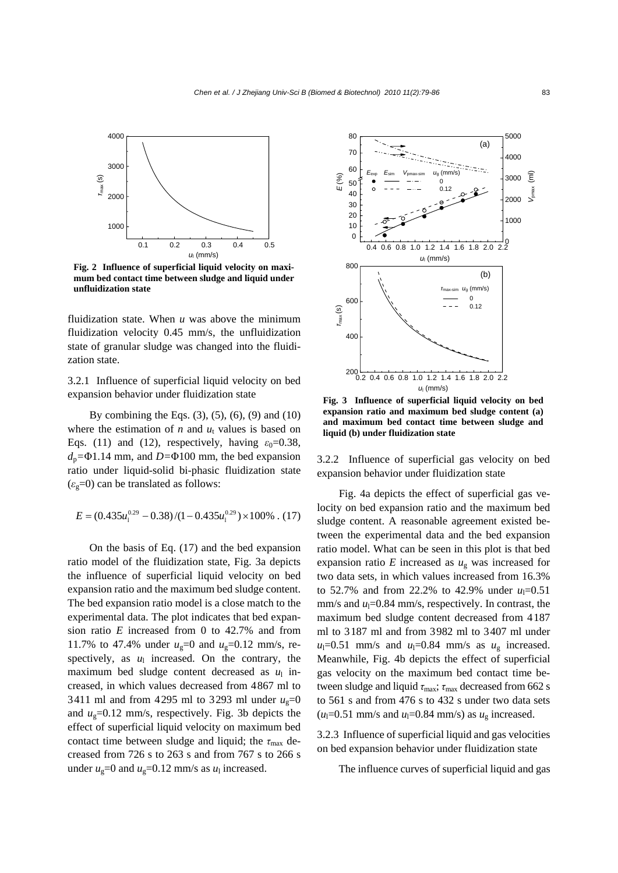

**Fig. 2 Influence of superficial liquid velocity on maximum bed contact time between sludge and liquid under unfluidization state**

fluidization state. When *u* was above the minimum fluidization velocity 0.45 mm/s, the unfluidization state of granular sludge was changed into the fluidization state.

3.2.1 Influence of superficial liquid velocity on bed expansion behavior under fluidization state

By combining the Eqs.  $(3)$ ,  $(5)$ ,  $(6)$ ,  $(9)$  and  $(10)$ where the estimation of  $n$  and  $u_t$  values is based on Eqs. (11) and (12), respectively, having  $\varepsilon_0 = 0.38$ ,  $d_p = \Phi 1.14$  mm, and  $D = \Phi 100$  mm, the bed expansion ratio under liquid-solid bi-phasic fluidization state  $(\varepsilon_g=0)$  can be translated as follows:

$$
E = (0.435u_1^{0.29} - 0.38)/(1 - 0.435u_1^{0.29}) \times 100\% \ . \ (17)
$$

On the basis of Eq. (17) and the bed expansion ratio model of the fluidization state, Fig. 3a depicts the influence of superficial liquid velocity on bed expansion ratio and the maximum bed sludge content. The bed expansion ratio model is a close match to the experimental data. The plot indicates that bed expansion ratio *E* increased from 0 to 42.7% and from 11.7% to 47.4% under  $u_g=0$  and  $u_g=0.12$  mm/s, respectively, as  $u_1$  increased. On the contrary, the maximum bed sludge content decreased as  $u_1$  increased, in which values decreased from 4867 ml to 3411 ml and from 4295 ml to 3293 ml under  $u<sub>g</sub>=0$ and  $u_g$ =0.12 mm/s, respectively. Fig. 3b depicts the effect of superficial liquid velocity on maximum bed contact time between sludge and liquid; the  $\tau_{\text{max}}$  decreased from 726 s to 263 s and from 767 s to 266 s under  $u_g$ =0 and  $u_g$ =0.12 mm/s as  $u_l$  increased.



**Fig. 3 Influence of superficial liquid velocity on bed expansion ratio and maximum bed sludge content (a) and maximum bed contact time between sludge and liquid (b) under fluidization state**

3.2.2 Influence of superficial gas velocity on bed expansion behavior under fluidization state

Fig. 4a depicts the effect of superficial gas velocity on bed expansion ratio and the maximum bed sludge content. A reasonable agreement existed between the experimental data and the bed expansion ratio model. What can be seen in this plot is that bed expansion ratio  $E$  increased as  $u_g$  was increased for two data sets, in which values increased from 16.3% to 52.7% and from 22.2% to 42.9% under  $u_1=0.51$  $mm/s$  and  $u_1=0.84$  mm/s, respectively. In contrast, the maximum bed sludge content decreased from 4187 ml to 3187 ml and from 3982 ml to 3407 ml under  $u_1=0.51$  mm/s and  $u_1=0.84$  mm/s as  $u_g$  increased. Meanwhile, Fig. 4b depicts the effect of superficial gas velocity on the maximum bed contact time between sludge and liquid  $\tau_{\text{max}}$ ;  $\tau_{\text{max}}$  decreased from 662 s to 561 s and from 476 s to 432 s under two data sets  $(u_1=0.51$  mm/s and  $u_1=0.84$  mm/s) as  $u_g$  increased.

3.2.3 Influence of superficial liquid and gas velocities on bed expansion behavior under fluidization state

The influence curves of superficial liquid and gas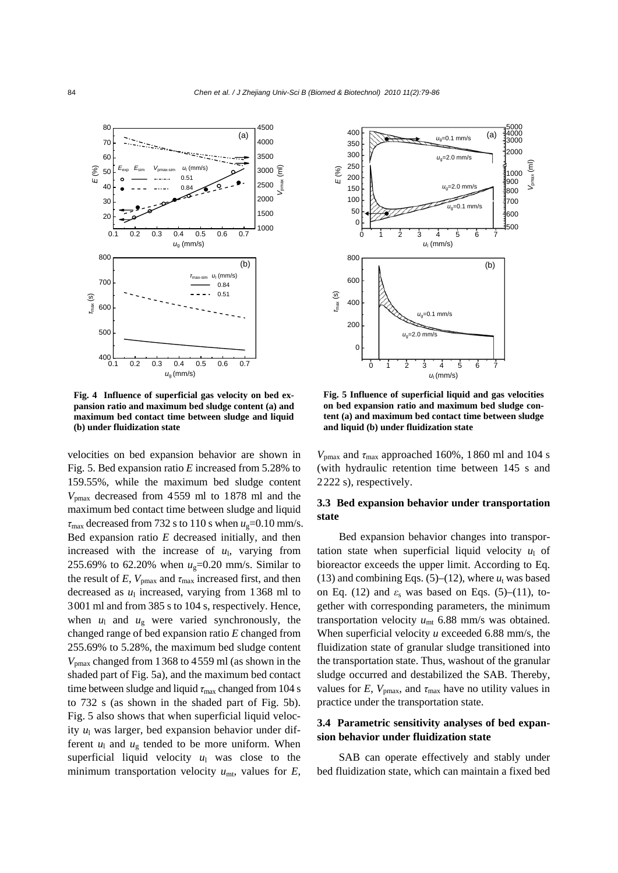

**Fig. 4 Influence of superficial gas velocity on bed expansion ratio and maximum bed sludge content (a) and maximum bed contact time between sludge and liquid (b) under fluidization state**

velocities on bed expansion behavior are shown in Fig. 5. Bed expansion ratio *E* increased from 5.28% to 159.55%, while the maximum bed sludge content *V*pmax decreased from 4559 ml to 1878 ml and the maximum bed contact time between sludge and liquid  $\tau_{\text{max}}$  decreased from 732 s to 110 s when  $u_{\text{g}}$ =0.10 mm/s. Bed expansion ratio *E* decreased initially, and then increased with the increase of  $u_1$ , varying from 255.69% to 62.20% when  $u_g$ =0.20 mm/s. Similar to the result of *E*,  $V_{\text{pmax}}$  and  $\tau_{\text{max}}$  increased first, and then decreased as  $u_1$  increased, varying from 1368 ml to 3001 ml and from 385 s to 104 s, respectively. Hence, when  $u_1$  and  $u_g$  were varied synchronously, the changed range of bed expansion ratio *E* changed from 255.69% to 5.28%, the maximum bed sludge content *V*pmax changed from 1368 to 4559 ml (as shown in the shaded part of Fig. 5a), and the maximum bed contact time between sludge and liquid  $\tau_{\text{max}}$  changed from 104 s to 732 s (as shown in the shaded part of Fig. 5b). Fig. 5 also shows that when superficial liquid velocity  $u_1$  was larger, bed expansion behavior under different  $u_1$  and  $u_2$  tended to be more uniform. When superficial liquid velocity  $u_1$  was close to the minimum transportation velocity  $u_{\text{mt}}$ , values for  $E$ ,



**Fig. 5 Influence of superficial liquid and gas velocities on bed expansion ratio and maximum bed sludge content (a) and maximum bed contact time between sludge and liquid (b) under fluidization state**

 $V_{\text{pmax}}$  and  $\tau_{\text{max}}$  approached 160%, 1860 ml and 104 s (with hydraulic retention time between 145 s and 2222 s), respectively.

# **3.3 Bed expansion behavior under transportation state**

Bed expansion behavior changes into transportation state when superficial liquid velocity  $u_1$  of bioreactor exceeds the upper limit. According to Eq. (13) and combining Eqs.  $(5)$ – $(12)$ , where  $u_t$  was based on Eq. (12) and  $\varepsilon$ <sub>s</sub> was based on Eqs. (5)–(11), together with corresponding parameters, the minimum transportation velocity  $u_{\text{mt}}$  6.88 mm/s was obtained. When superficial velocity *u* exceeded 6.88 mm/s, the fluidization state of granular sludge transitioned into the transportation state. Thus, washout of the granular sludge occurred and destabilized the SAB. Thereby, values for *E*,  $V_{\text{max}}$ , and  $\tau_{\text{max}}$  have no utility values in practice under the transportation state.

# **3.4 Parametric sensitivity analyses of bed expansion behavior under fluidization state**

SAB can operate effectively and stably under bed fluidization state, which can maintain a fixed bed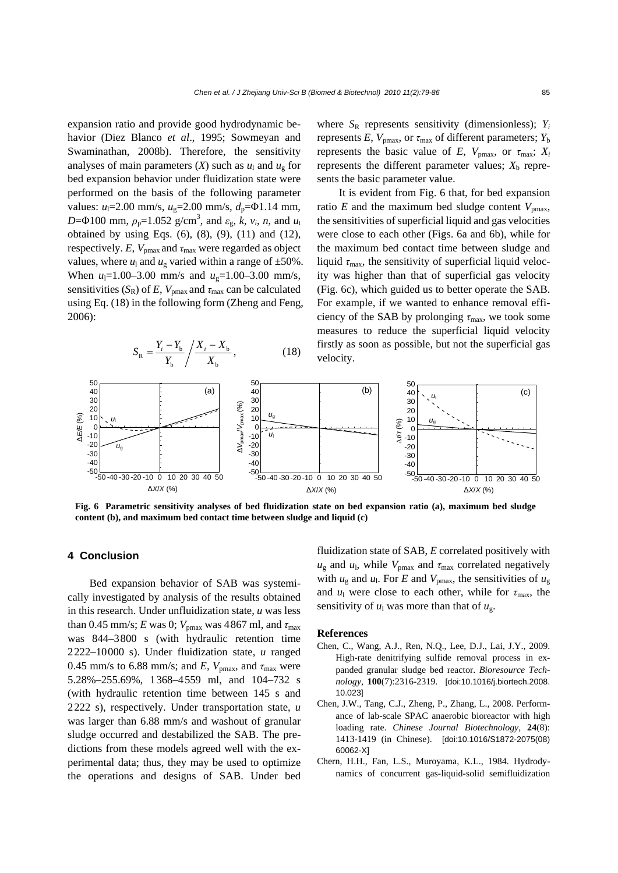expansion ratio and provide good hydrodynamic behavior (Diez Blanco *et al*., 1995; Sowmeyan and Swaminathan, 2008b). Therefore, the sensitivity analyses of main parameters  $(X)$  such as  $u_1$  and  $u_g$  for bed expansion behavior under fluidization state were performed on the basis of the following parameter values:  $u_1 = 2.00$  mm/s,  $u_2 = 2.00$  mm/s,  $d_p = \Phi 1.14$  mm, *D*= $\Phi$ 100 mm,  $\rho_p$ =1.052 g/cm<sup>3</sup>, and  $\varepsilon_g$ , *k*, *v<sub>i</sub>*, *n*, and *u*<sub>t</sub> obtained by using Eqs.  $(6)$ ,  $(8)$ ,  $(9)$ ,  $(11)$  and  $(12)$ , respectively. *E*,  $V_{\text{pmax}}$  and  $\tau_{\text{max}}$  were regarded as object values, where  $u_1$  and  $u_g$  varied within a range of  $\pm 50\%$ . When  $u_1 = 1.00 - 3.00$  mm/s and  $u_g = 1.00 - 3.00$  mm/s, sensitivities  $(S_R)$  of *E*,  $V_{pmax}$  and  $\tau_{max}$  can be calculated using Eq. (18) in the following form (Zheng and Feng, 2006):

$$
S_{\rm R} = \frac{Y_i - Y_{\rm b}}{Y_{\rm b}} / \frac{X_i - X_{\rm b}}{X_{\rm b}},
$$
 (18)

where  $S_R$  represents sensitivity (dimensionless);  $Y_i$ represents  $E$ ,  $V_{\text{pmax}}$ , or  $\tau_{\text{max}}$  of different parameters;  $Y_{\text{b}}$ represents the basic value of *E*,  $V_{\text{pmax}}$ , or  $\tau_{\text{max}}$ ;  $X_i$ represents the different parameter values;  $X<sub>b</sub>$  represents the basic parameter value.

It is evident from Fig. 6 that, for bed expansion ratio  $E$  and the maximum bed sludge content  $V_{\text{pmax}}$ , the sensitivities of superficial liquid and gas velocities were close to each other (Figs. 6a and 6b), while for the maximum bed contact time between sludge and liquid  $\tau_{\text{max}}$ , the sensitivity of superficial liquid velocity was higher than that of superficial gas velocity (Fig. 6c), which guided us to better operate the SAB. For example, if we wanted to enhance removal efficiency of the SAB by prolonging  $\tau_{\text{max}}$ , we took some measures to reduce the superficial liquid velocity firstly as soon as possible, but not the superficial gas velocity.



**Fig. 6 Parametric sensitivity analyses of bed fluidization state on bed expansion ratio (a), maximum bed sludge content (b), and maximum bed contact time between sludge and liquid (c)**

## **4 Conclusion**

Bed expansion behavior of SAB was systemically investigated by analysis of the results obtained in this research. Under unfluidization state, *u* was less than 0.45 mm/s; *E* was 0;  $V_{\text{pmax}}$  was 4867 ml, and  $\tau_{\text{max}}$ was 844–3800 s (with hydraulic retention time 2222–10000 s). Under fluidization state, *u* ranged 0.45 mm/s to 6.88 mm/s; and *E*,  $V_{\text{pmax}}$ , and  $\tau_{\text{max}}$  were 5.28%–255.69%, 1368–4559 ml, and 104–732 s (with hydraulic retention time between 145 s and 2222 s), respectively. Under transportation state, *u*  was larger than 6.88 mm/s and washout of granular sludge occurred and destabilized the SAB. The predictions from these models agreed well with the experimental data; thus, they may be used to optimize the operations and designs of SAB. Under bed

fluidization state of SAB, *E* correlated positively with  $u_{\rm g}$  and  $u_{\rm l}$ , while  $V_{\rm pmax}$  and  $\tau_{\rm max}$  correlated negatively with  $u_g$  and  $u_l$ . For *E* and  $V_{\text{pmax}}$ , the sensitivities of  $u_g$ and  $u_1$  were close to each other, while for  $\tau_{\text{max}}$ , the sensitivity of  $u_1$  was more than that of  $u_g$ .

#### **References**

- Chen, C., Wang, A.J., Ren, N.Q., Lee, D.J., Lai, J.Y., 2009. High-rate denitrifying sulfide removal process in expanded granular sludge bed reactor. *Bioresource Technology*, **100**(7):2316-2319. [doi:10.1016/j.biortech.2008. 10.023]
- Chen, J.W., Tang, C.J., Zheng, P., Zhang, L., 2008. Performance of lab-scale SPAC anaerobic bioreactor with high loading rate. *Chinese Journal Biotechnology*, **24**(8): 1413-1419 (in Chinese). [doi:10.1016/S1872-2075(08) 60062-X]
- Chern, H.H., Fan, L.S., Muroyama, K.L., 1984. Hydrodynamics of concurrent gas-liquid-solid semifluidization